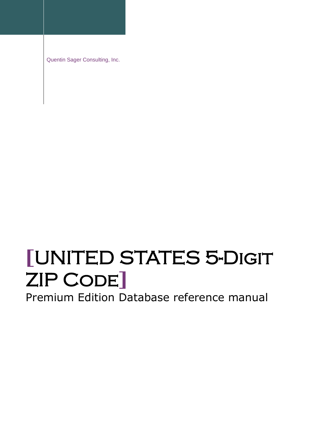Quentin Sager Consulting, Inc.

# **[**UNITED STATES 5-Digit ZIP Code**]**

Premium Edition Database reference manual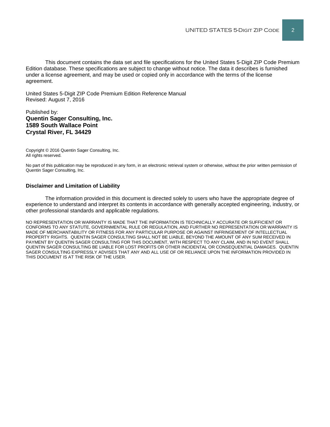This document contains the data set and file specifications for the United States 5-Digit ZIP Code Premium Edition database. These specifications are subject to change without notice. The data it describes is furnished under a license agreement, and may be used or copied only in accordance with the terms of the license agreement.

United States 5-Digit ZIP Code Premium Edition Reference Manual Revised: August 7, 2016

#### Published by: **Quentin Sager Consulting, Inc. 1589 South Wallace Point Crystal River, FL 34429**

Copyright © 2016 Quentin Sager Consulting, Inc. All rights reserved.

No part of this publication may be reproduced in any form, in an electronic retrieval system or otherwise, without the prior written permission of Quentin Sager Consulting, Inc.

#### **Disclaimer and Limitation of Liability**

The information provided in this document is directed solely to users who have the appropriate degree of experience to understand and interpret its contents in accordance with generally accepted engineering, industry, or other professional standards and applicable regulations.

NO REPRESENTATION OR WARRANTY IS MADE THAT THE INFORMATION IS TECHNICALLY ACCURATE OR SUFFICIENT OR CONFORMS TO ANY STATUTE, GOVERNMENTAL RULE OR REGULATION, AND FURTHER NO REPRESENTATION OR WARRANTY IS MADE OF MERCHANTABILITY OR FITNESS FOR ANY PARTICULAR PURPOSE OR AGAINST INFRINGEMENT OF INTELLECTUAL PROPERTY RIGHTS. QUENTIN SAGER CONSULTING SHALL NOT BE LIABLE, BEYOND THE AMOUNT OF ANY SUM RECEIVED IN PAYMENT BY QUENTIN SAGER CONSULTING FOR THIS DOCUMENT, WITH RESPECT TO ANY CLAIM, AND IN NO EVENT SHALL QUENTIN SAGER CONSULTING BE LIABLE FOR LOST PROFITS OR OTHER INCIDENTAL OR CONSEQUENTIAL DAMAGES. QUENTIN SAGER CONSULTING EXPRESSLY ADVISES THAT ANY AND ALL USE OF OR RELIANCE UPON THE INFORMATION PROVIDED IN THIS DOCUMENT IS AT THE RISK OF THE USER.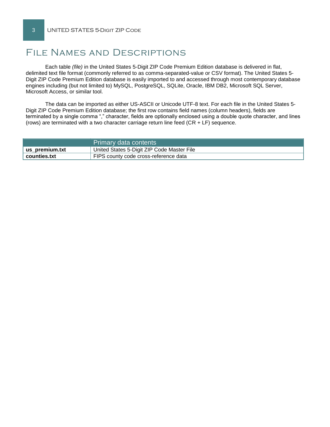# File Names and Descriptions

Each table *(file)* in the United States 5-Digit ZIP Code Premium Edition database is delivered in flat, delimited text file format (commonly referred to as comma-separated-value or CSV format). The United States 5- Digit ZIP Code Premium Edition database is easily imported to and accessed through most contemporary database engines including (but not limited to) MySQL, PostgreSQL, SQLite, Oracle, IBM DB2, Microsoft SQL Server, Microsoft Access, or similar tool.

The data can be imported as either US-ASCII or Unicode UTF-8 text. For each file in the United States 5- Digit ZIP Code Premium Edition database; the first row contains field names (column headers), fields are terminated by a single comma "," character, fields are optionally enclosed using a double quote character, and lines (rows) are terminated with a two character carriage return line feed  $(CR + LF)$  sequence.

|                | Primary data contents                      |
|----------------|--------------------------------------------|
| us_premium.txt | United States 5-Digit ZIP Code Master File |
| counties.txt   | FIPS county code cross-reference data      |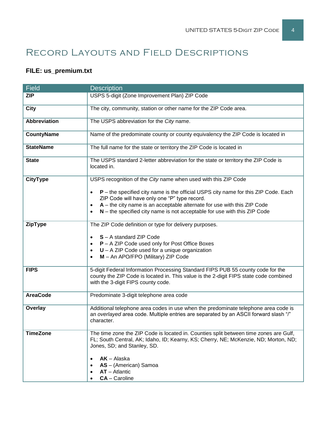# Record Layouts and Field Descriptions

## **FILE: us\_premium.txt**

| <b>Field</b>        | <b>Description</b>                                                                                                                                                                                                                                                                                                      |  |  |
|---------------------|-------------------------------------------------------------------------------------------------------------------------------------------------------------------------------------------------------------------------------------------------------------------------------------------------------------------------|--|--|
| <b>ZIP</b>          | USPS 5-digit (Zone Improvement Plan) ZIP Code                                                                                                                                                                                                                                                                           |  |  |
| <b>City</b>         | The city, community, station or other name for the ZIP Code area.                                                                                                                                                                                                                                                       |  |  |
| <b>Abbreviation</b> | The USPS abbreviation for the City name.                                                                                                                                                                                                                                                                                |  |  |
| <b>CountyName</b>   | Name of the predominate county or county equivalency the ZIP Code is located in                                                                                                                                                                                                                                         |  |  |
| <b>StateName</b>    | The full name for the state or territory the ZIP Code is located in                                                                                                                                                                                                                                                     |  |  |
| <b>State</b>        | The USPS standard 2-letter abbreviation for the state or territory the ZIP Code is<br>located in.                                                                                                                                                                                                                       |  |  |
| <b>CityType</b>     | USPS recognition of the City name when used with this ZIP Code                                                                                                                                                                                                                                                          |  |  |
|                     | P – the specified city name is the official USPS city name for this ZIP Code. Each<br>$\bullet$<br>ZIP Code will have only one "P" type record.<br>$A$ – the city name is an acceptable alternate for use with this ZIP Code<br>$\bullet$<br>$N$ – the specified city name is not acceptable for use with this ZIP Code |  |  |
| ZipType             | The ZIP Code definition or type for delivery purposes.                                                                                                                                                                                                                                                                  |  |  |
|                     | S - A standard ZIP Code<br>P - A ZIP Code used only for Post Office Boxes<br>$\bullet$<br>$U - A ZIP$ Code used for a unique organization<br>$\bullet$<br>M - An APO/FPO (Military) ZIP Code                                                                                                                            |  |  |
| <b>FIPS</b>         | 5-digit Federal Information Processing Standard FIPS PUB 55 county code for the<br>county the ZIP Code is located in. This value is the 2-digit FIPS state code combined<br>with the 3-digit FIPS county code.                                                                                                          |  |  |
| <b>AreaCode</b>     | Predominate 3-digit telephone area code                                                                                                                                                                                                                                                                                 |  |  |
| <b>Overlay</b>      | Additional telephone area codes in use when the predominate telephone area code is<br>an overlayed area code. Multiple entries are separated by an ASCII forward slash "I"<br>character.                                                                                                                                |  |  |
| <b>TimeZone</b>     | The time zone the ZIP Code is located in. Counties split between time zones are Gulf,<br>FL; South Central, AK; Idaho, ID; Kearny, KS; Cherry, NE; McKenzie, ND; Morton, ND;<br>Jones, SD; and Stanley, SD.<br>$AK - Alaska$                                                                                            |  |  |
|                     | AS - (American) Samoa<br>$AT - Atlantic$<br>CA - Caroline                                                                                                                                                                                                                                                               |  |  |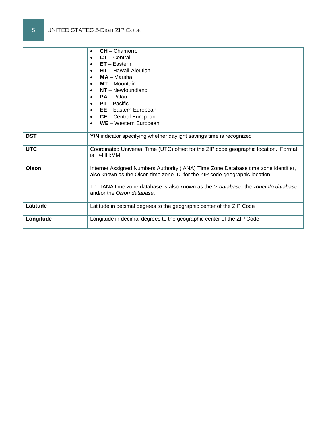|            | $CH - Chamorro$<br>$\bullet$                                                                                       |
|------------|--------------------------------------------------------------------------------------------------------------------|
|            | $CT - Central$<br>$\bullet$                                                                                        |
|            | $ET - Eastern$<br>$\bullet$                                                                                        |
|            | $HT - Hawaii-Aleutian$<br>$\bullet$                                                                                |
|            | $MA - Marshall$<br>$\bullet$                                                                                       |
|            | $MT - M$ ountain<br>$\bullet$                                                                                      |
|            | $NT - Newtondland$                                                                                                 |
|            | $PA - Palau$                                                                                                       |
|            |                                                                                                                    |
|            | <b>PT</b> – Pacific<br>$\bullet$                                                                                   |
|            | <b>EE</b> - Eastern European<br>$\bullet$                                                                          |
|            | CE - Central European<br>$\bullet$                                                                                 |
|            | WE - Western European<br>$\bullet$                                                                                 |
|            |                                                                                                                    |
| <b>DST</b> | Y/N indicator specifying whether daylight savings time is recognized                                               |
|            |                                                                                                                    |
| <b>UTC</b> | Coordinated Universal Time (UTC) offset for the ZIP code geographic location. Format                               |
|            | is $+\$ -HH:MM.                                                                                                    |
|            |                                                                                                                    |
| Olson      | Internet Assigned Numbers Authority (IANA) Time Zone Database time zone identifier,                                |
|            | also known as the Olson time zone ID, for the ZIP code geographic location.                                        |
|            |                                                                                                                    |
|            | The IANA time zone database is also known as the tz database, the zoneinfo database,<br>and/or the Olson database. |
|            |                                                                                                                    |
|            |                                                                                                                    |
| Latitude   | Latitude in decimal degrees to the geographic center of the ZIP Code                                               |
|            |                                                                                                                    |
| Longitude  | Longitude in decimal degrees to the geographic center of the ZIP Code                                              |
|            |                                                                                                                    |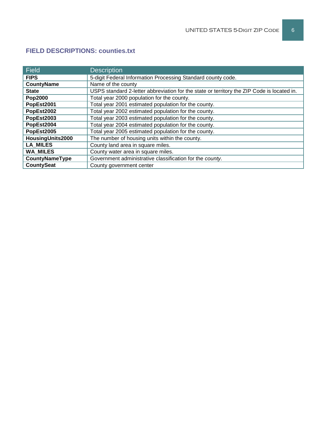| <b>Field</b>      | <b>Description</b>                                                                         |
|-------------------|--------------------------------------------------------------------------------------------|
| <b>FIPS</b>       | 5-digit Federal Information Processing Standard county code.                               |
| <b>CountyName</b> | Name of the county                                                                         |
| <b>State</b>      | USPS standard 2-letter abbreviation for the state or territory the ZIP Code is located in. |
| <b>Pop2000</b>    | Total year 2000 population for the county.                                                 |
| PopEst2001        | Total year 2001 estimated population for the county.                                       |
| PopEst2002        | Total year 2002 estimated population for the county.                                       |
| PopEst2003        | Total year 2003 estimated population for the county.                                       |
| PopEst2004        | Total year 2004 estimated population for the county.                                       |
| PopEst2005        | Total year 2005 estimated population for the county.                                       |
| HousingUnits2000  | The number of housing units within the county.                                             |
| <b>LA MILES</b>   | County land area in square miles.                                                          |
| <b>WA MILES</b>   | County water area in square miles.                                                         |
| CountyNameType    | Government administrative classification for the county.                                   |
| <b>CountySeat</b> | County government center                                                                   |

### **FIELD DESCRIPTIONS: counties.txt**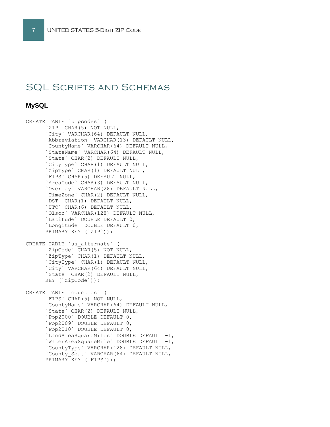## SQL Scripts and Schemas

#### **MySQL**

CREATE TABLE `zipcodes` ( `ZIP` CHAR(5) NOT NULL, `City` VARCHAR(64) DEFAULT NULL, `Abbreviation` VARCHAR(13) DEFAULT NULL, `CountyName` VARCHAR(64) DEFAULT NULL, `StateName` VARCHAR(64) DEFAULT NULL, `State` CHAR(2) DEFAULT NULL, `CityType` CHAR(1) DEFAULT NULL, `ZipType` CHAR(1) DEFAULT NULL, `FIPS` CHAR(5) DEFAULT NULL, `AreaCode` CHAR(3) DEFAULT NULL, `Overlay` VARCHAR(28) DEFAULT NULL, `TimeZone` CHAR(2) DEFAULT NULL, `DST` CHAR(1) DEFAULT NULL, `UTC` CHAR(6) DEFAULT NULL, `Olson` VARCHAR(128) DEFAULT NULL, `Latitude` DOUBLE DEFAULT 0, `Longitude` DOUBLE DEFAULT 0, PRIMARY KEY (`ZIP`)); CREATE TABLE `us\_alternate` ( `ZipCode` CHAR(5) NOT NULL, `ZipType` CHAR(1) DEFAULT NULL, `CityType` CHAR(1) DEFAULT NULL, `City` VARCHAR(64) DEFAULT NULL, `State` CHAR(2) DEFAULT NULL, KEY (`ZipCode`)); CREATE TABLE `counties` ( `FIPS` CHAR(5) NOT NULL, `CountyName` VARCHAR(64) DEFAULT NULL, `State` CHAR(2) DEFAULT NULL, `Pop2000` DOUBLE DEFAULT 0, `Pop2009` DOUBLE DEFAULT 0, `Pop2010` DOUBLE DEFAULT 0, `LandAreaSquareMiles` DOUBLE DEFAULT -1, `WaterAreaSquareMile` DOUBLE DEFAULT -1,

`CountyType` VARCHAR(128) DEFAULT NULL, `County\_Seat` VARCHAR(64) DEFAULT NULL, PRIMARY KEY (`FIPS`));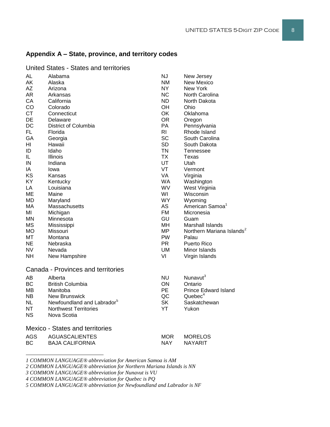## **Appendix A – State, province, and territory codes**

| AL                                 | Alabama                                | <b>NJ</b>      | New Jersey                            |  |  |  |
|------------------------------------|----------------------------------------|----------------|---------------------------------------|--|--|--|
| AK                                 | Alaska                                 | <b>NM</b>      | New Mexico                            |  |  |  |
| AZ                                 | Arizona                                | <b>NY</b>      | <b>New York</b>                       |  |  |  |
| AR                                 | Arkansas                               | <b>NC</b>      | North Carolina                        |  |  |  |
| CA                                 | California                             | <b>ND</b>      | North Dakota                          |  |  |  |
| CO                                 | Colorado                               | OH             | Ohio                                  |  |  |  |
| <b>CT</b>                          | Connecticut                            | <b>OK</b>      | Oklahoma                              |  |  |  |
| DE                                 | Delaware                               | <b>OR</b>      | Oregon                                |  |  |  |
| DC                                 | District of Columbia                   | PA             | Pennsylvania                          |  |  |  |
| <b>FL</b>                          | Florida                                | R <sub>l</sub> | Rhode Island                          |  |  |  |
| GA                                 | Georgia                                | <b>SC</b>      | South Carolina                        |  |  |  |
| HI                                 | Hawaii                                 | <b>SD</b>      | South Dakota                          |  |  |  |
| ID                                 | Idaho                                  | <b>TN</b>      | Tennessee                             |  |  |  |
| IL.                                | <b>Illinois</b>                        | ТX             | Texas                                 |  |  |  |
| IN                                 | Indiana                                | UT             | Utah                                  |  |  |  |
| IA                                 | lowa                                   | VT             | Vermont                               |  |  |  |
| KS                                 | Kansas                                 | VA             | Virginia                              |  |  |  |
| KY                                 | Kentucky                               | <b>WA</b>      | Washington                            |  |  |  |
| LA                                 | Louisiana                              | WV             | West Virginia                         |  |  |  |
| MЕ                                 | Maine                                  | WI             | Wisconsin                             |  |  |  |
| <b>MD</b>                          | Maryland                               | <b>WY</b>      | Wyoming                               |  |  |  |
| МA                                 | Massachusetts                          | <b>AS</b>      | American Samoa <sup>1</sup>           |  |  |  |
| МI                                 | Michigan                               | FM.            | Micronesia                            |  |  |  |
| ΜN                                 | Minnesota                              | GU             | Guam                                  |  |  |  |
| <b>MS</b>                          | Mississippi                            | MН             | Marshall Islands                      |  |  |  |
| МO                                 | Missouri                               | ΜP             | Northern Mariana Islands <sup>2</sup> |  |  |  |
| МT                                 | Montana                                | PW             | Palau                                 |  |  |  |
| NE                                 | Nebraska                               | <b>PR</b>      | <b>Puerto Rico</b>                    |  |  |  |
| NV.                                | Nevada                                 | UM             | Minor Islands                         |  |  |  |
| NΗ                                 | New Hampshire                          | VI             | Virgin Islands                        |  |  |  |
|                                    |                                        |                |                                       |  |  |  |
| Canada - Provinces and territories |                                        |                |                                       |  |  |  |
| AB                                 | Alberta                                | <b>NU</b>      | Nunavut <sup>3</sup>                  |  |  |  |
| BС                                 | <b>British Columbia</b>                | ON             | Ontario                               |  |  |  |
| ΜВ                                 | Manitoba                               | <b>PE</b>      | <b>Prince Edward Island</b>           |  |  |  |
| NB.                                | <b>New Brunswick</b>                   | QC             | Quebec <sup>4</sup>                   |  |  |  |
| <b>NL</b>                          | Newfoundland and Labrador <sup>5</sup> | <b>SK</b>      | Saskatchewan                          |  |  |  |
| NΤ                                 | <b>Northwest Territories</b>           | YT             | Yukon                                 |  |  |  |
| <b>NS</b>                          | Nova Scotia                            |                |                                       |  |  |  |
|                                    | <b>Mexico - States and territories</b> |                |                                       |  |  |  |
|                                    |                                        |                |                                       |  |  |  |
| AGS                                | <b>AGUASCALIENTES</b>                  | <b>MOR</b>     | <b>MORELOS</b>                        |  |  |  |
| BС                                 | <b>BAJA CALIFORNIA</b>                 | <b>NAY</b>     | <b>NAYARIT</b>                        |  |  |  |
|                                    |                                        |                |                                       |  |  |  |

United States - States and territories

*1 COMMON LANGUAGE® abbreviation for American Samoa is AM*

*2 COMMON LANGUAGE® abbreviation for Northern Mariana Islands is NN*

*3 COMMON LANGUAGE® abbreviation for Nunavut is VU*

l

*4 COMMON LANGUAGE® abbreviation for Quebec is PQ*

*5 COMMON LANGUAGE® abbreviation for Newfoundland and Labrador is NF*